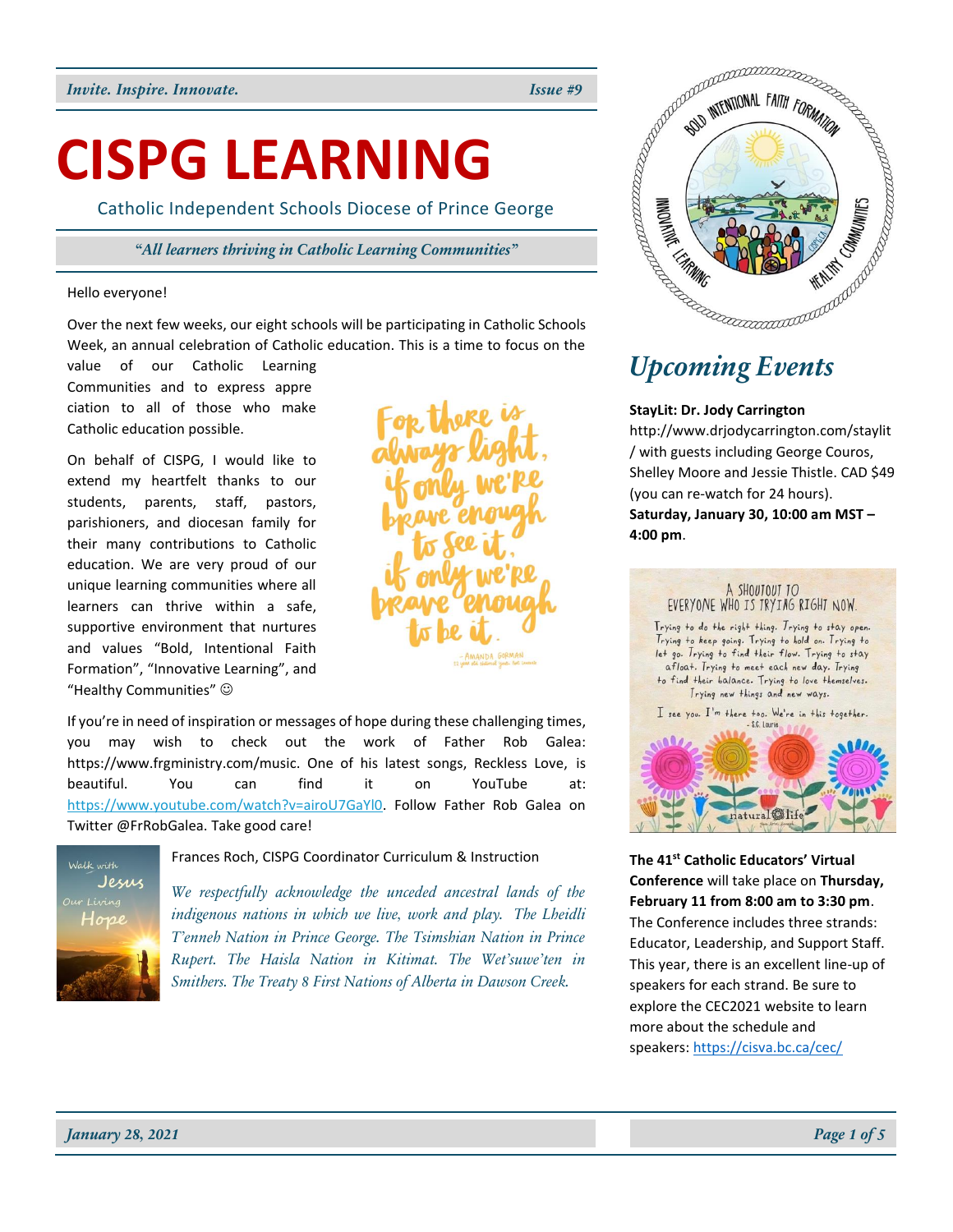# **CISPG LEARNING**

Catholic Independent Schools Diocese of Prince George

*"All learners thriving in Catholic Learning Communities"*

#### Hello everyone!

Over the next few weeks, our eight schools will be participating in Catholic Schools Week, an annual celebration of Catholic education. This is a time to focus on the

value of our Catholic Learning Communities and to express appre ciation to all of those who make Catholic education possible.

On behalf of CISPG, I would like to extend my heartfelt thanks to our students, parents, staff, pastors, parishioners, and diocesan family for their many contributions to Catholic education. We are very proud of our unique learning communities where all learners can thrive within a safe, supportive environment that nurtures and values "Bold, Intentional Faith Formation", "Innovative Learning", and "Healthy Communities" ☺



If you're in need of inspiration or messages of hope during these challenging times, you may wish to check out the work of Father Rob Galea: https://www.frgministry.com/music. One of his latest songs, Reckless Love, is beautiful. You can find it on YouTube at: [https://www.youtube.com/watch?v=airoU7GaYl0.](https://www.youtube.com/watch?v=airoU7GaYl0) Follow Father Rob Galea on Twitter @FrRobGalea. Take good care!



Frances Roch, CISPG Coordinator Curriculum & Instruction

*We respectfully acknowledge the unceded ancestral lands of the indigenous nations in which we live, work and play. The Lheidli T'enneh Nation in Prince George. The Tsimshian Nation in Prince Rupert. The Haisla Nation in Kitimat. The Wet'suwe'ten in Smithers. The Treaty 8 First Nations of Alberta in Dawson Creek.*



# *Upcoming Events*

#### **StayLit: Dr. Jody Carrington**

http://www.drjodycarrington.com/staylit / with guests including George Couros, Shelley Moore and Jessie Thistle. CAD \$49 (you can re-watch for 24 hours). **Saturday, January 30, 10:00 am MST – 4:00 pm**.



**The 41st Catholic Educators' Virtual Conference** will take place on **Thursday, February 11 from 8:00 am to 3:30 pm**. The Conference includes three strands: Educator, Leadership, and Support Staff. This year, there is an excellent line-up of speakers for each strand. Be sure to explore the CEC2021 website to learn more about the schedule and speakers: <https://cisva.bc.ca/cec/>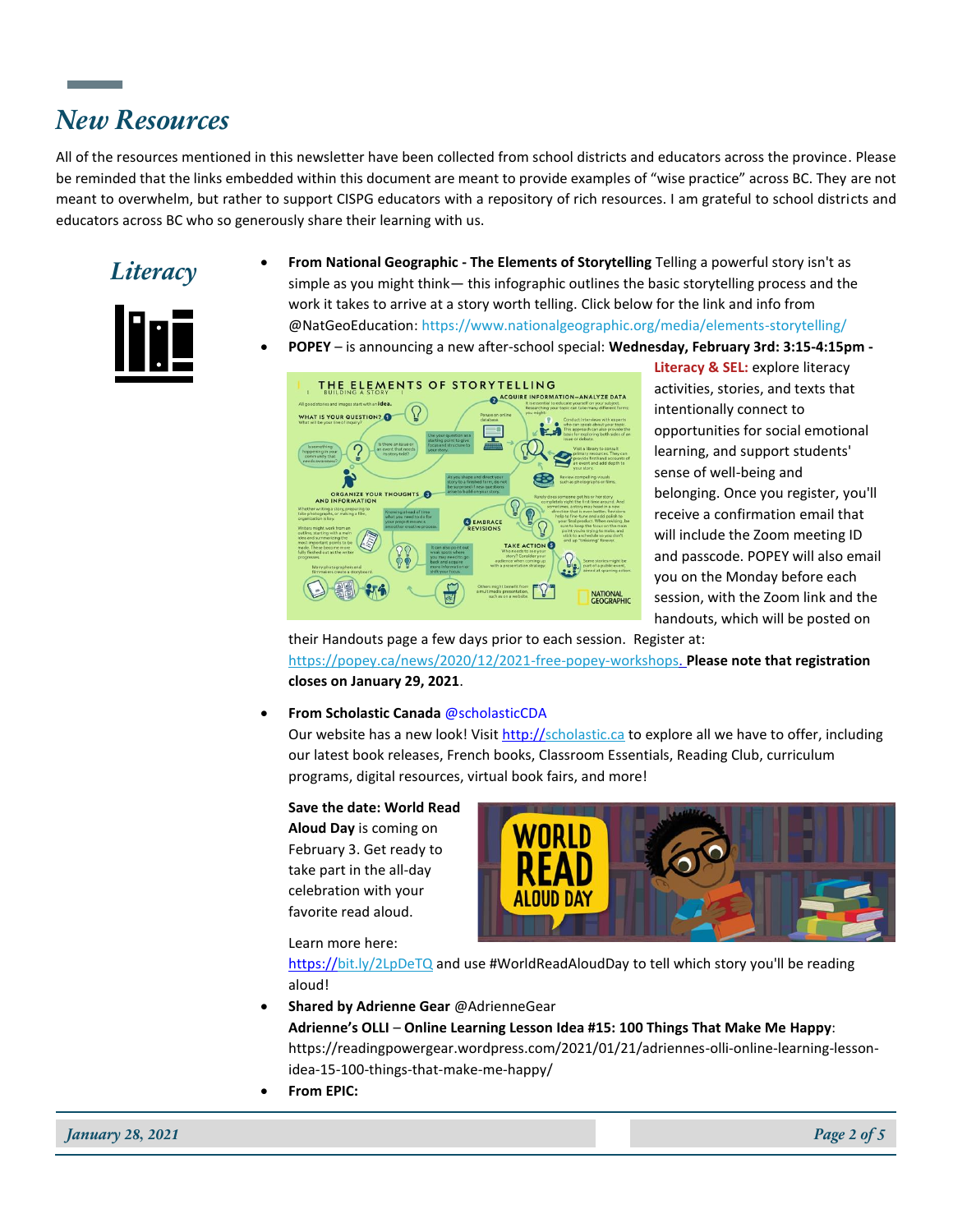## *New Resources*

All of the resources mentioned in this newsletter have been collected from school districts and educators across the province. Please be reminded that the links embedded within this document are meant to provide examples of "wise practice" across BC. They are not meant to overwhelm, but rather to support CISPG educators with a repository of rich resources. I am grateful to school districts and educators across BC who so generously share their learning with us.



- *Literacy* **From National Geographic The Elements of Storytelling** Telling a powerful story isn't as simple as you might think— this infographic outlines the basic storytelling process and the work it takes to arrive at a story worth telling. Click below for the link and info from @NatGeoEducation: https://www.nationalgeographic.org/media/elements-storytelling/
	- **POPEY** is announcing a new after-school special: **Wednesday, February 3rd: 3:15-4:15pm -**



**Literacy & SEL:** explore literacy activities, stories, and texts that intentionally connect to opportunities for social emotional learning, and support students' sense of well-being and belonging. Once you register, you'll receive a confirmation email that will include the Zoom meeting ID and passcode. POPEY will also email you on the Monday before each session, with the Zoom link and the handouts, which will be posted on

their Handouts page a few days prior to each session. Register at: [https://popey.ca/news/2020/12/2021-free-popey-workshops.](https://popey.ca/news/2020/12/2021-free-popey-workshops) **Please note that registration closes on January 29, 2021**.

#### • **From Scholastic Canada** @scholasticCDA

Our website has a new look! Visit [http://scholastic.ca](https://t.co/fDiqpnQhDP?amp=1) to explore all we have to offer, including our latest book releases, French books, Classroom Essentials, Reading Club, curriculum programs, digital resources, virtual book fairs, and more!

**Save the date: World Read Aloud Day** is coming on February 3. Get ready to take part in the all-day celebration with your favorite read aloud.



Learn more here:

[https://bit.ly/2LpDeTQ](https://t.co/tGGLmeGooS?amp=1) and us[e #WorldReadAloudDay](https://twitter.com/hashtag/WorldReadAloudDay?src=hashtag_click) to tell which story you'll be reading aloud!

- **Shared by Adrienne Gear** @AdrienneGear **Adrienne's OLLI** – **Online Learning Lesson Idea #15: 100 Things That Make Me Happy**: https://readingpowergear.wordpress.com/2021/01/21/adriennes-olli-online-learning-lessonidea-15-100-things-that-make-me-happy/
- **From EPIC:**

*January 28, 2021 Page 2 of 5*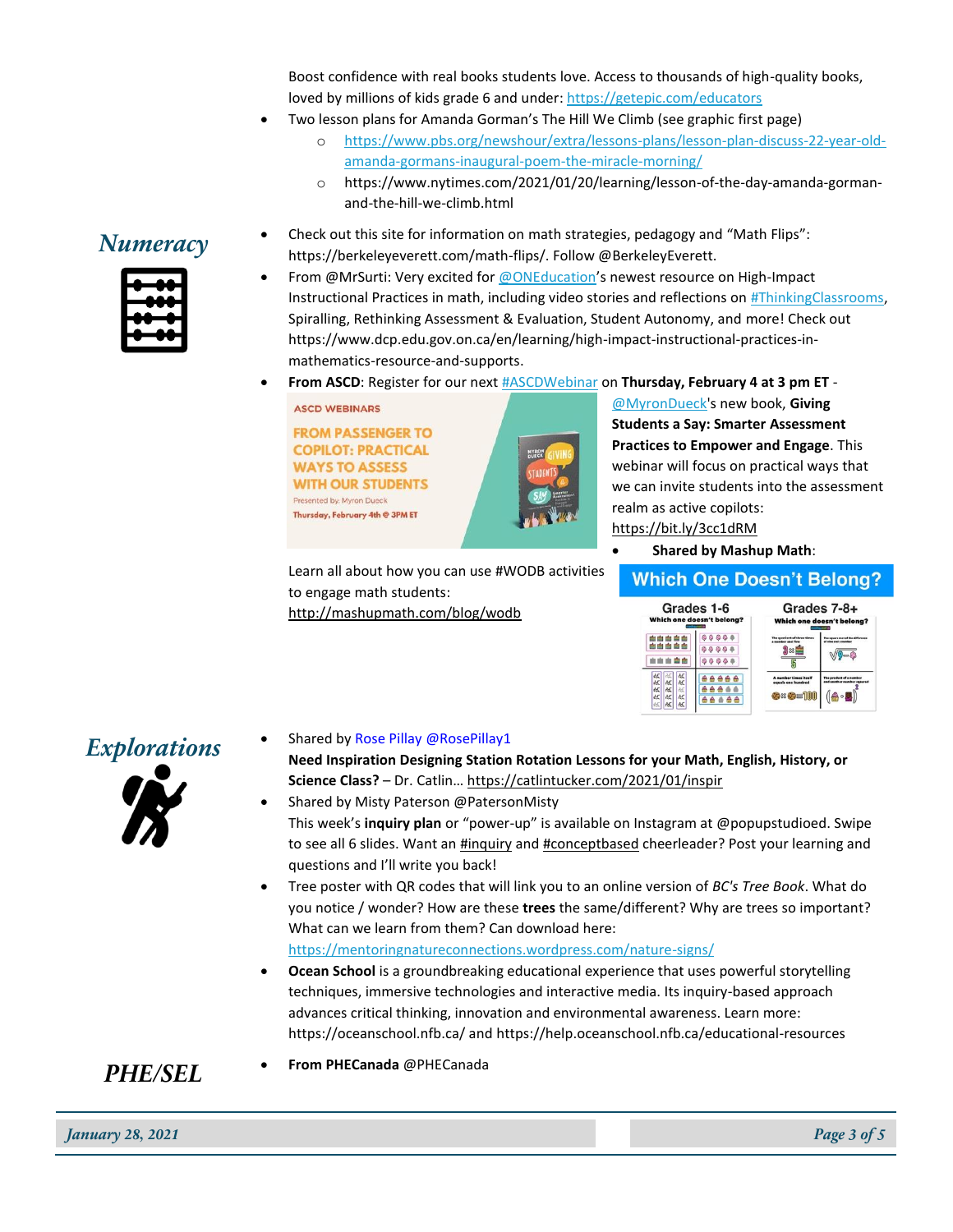Boost confidence with real books students love. Access to thousands of high-quality books, loved by millions of kids grade 6 and under[: https://getepic.com/educators](https://getepic.com/educators)

- Two lesson plans for Amanda Gorman's The Hill We Climb (see graphic first page)
	- o [https://www.pbs.org/newshour/extra/lessons-plans/lesson-plan-discuss-22-year-old](https://www.pbs.org/newshour/extra/lessons-plans/lesson-plan-discuss-22-year-old-amanda-gormans-inaugural-poem-the-miracle-morning/)[amanda-gormans-inaugural-poem-the-miracle-morning/](https://www.pbs.org/newshour/extra/lessons-plans/lesson-plan-discuss-22-year-old-amanda-gormans-inaugural-poem-the-miracle-morning/)
	- o https://www.nytimes.com/2021/01/20/learning/lesson-of-the-day-amanda-gormanand-the-hill-we-climb.html

#### **Numeracy** • Check out this site for information on math strategies, pedagogy and "Math Flips":<br>https://berkelsysyspatt.com/math.flips/\_Fellow@BerkelsyFuscatt. https://berkeleyeverett.com/math-flips/. Follow @BerkeleyEverett.

- From @MrSurti: Very excited fo[r @ONEducation](https://twitter.com/ONeducation)'s newest resource on High-Impact Instructional Practices in math, including video stories and reflections on [#ThinkingClassrooms,](https://twitter.com/hashtag/ThinkingClassrooms?src=hashtag_click) Spiralling, Rethinking Assessment & Evaluation, Student Autonomy, and more! Check out https://www.dcp.edu.gov.on.ca/en/learning/high-impact-instructional-practices-inmathematics-resource-and-supports.
- **From ASCD**: Register for our nex[t #ASCDWebinar](https://twitter.com/hashtag/ASCDWebinar?src=hashtag_click) on **Thursday, February 4 at 3 pm ET** -

**ASCD WEBINARS** 

**FROM PASSENGER TO COPILOT: PRACTICAL WAYS TO ASSESS WITH OUR STUDENTS** Presented by: Myron Dueck Thursday, February 4th @ 3PM ET



Learn all about how you can use #WODB activities to engage math students: [http://mashupmath.com/blog/wodb](https://t.co/NEKyug7t0h?amp=1)

[@MyronDueck's](https://twitter.com/myrondueck) new book, **Giving Students a Say: Smarter Assessment Practices to Empower and Engage**. This webinar will focus on practical ways that we can invite students into the assessment realm as active copilots: <https://bit.ly/3cc1dRM>

• **Shared by Mashup Math**:

#### **Which One Doesn't Belong?**

| Grades 1-6                                                                                                  |  | Grades 7-8+                                                     |                                                       |
|-------------------------------------------------------------------------------------------------------------|--|-----------------------------------------------------------------|-------------------------------------------------------|
| Which one doesn't belong?                                                                                   |  |                                                                 | Which one doesn't belong?                             |
| 西西西西西                                                                                                       |  | The assetiant of three times<br>a number and five               | iara saat af tha difference<br>of also and a monkey   |
| 武武<br><b>AE</b><br>献<br>文次<br>k<br><b>AE</b><br><b>AE</b><br>改<br>怟<br><b>&amp;C</b><br>帐<br>忒<br><b>ME</b> |  | A number times itself<br>equals one hundred<br><b>Ox Os 101</b> | The product of a number<br>and unather number counted |



**Explorations** • Shared by Rose Pillay @RosePillay1

**Need Inspiration Designing Station Rotation Lessons for your Math, English, History, or Science Class?** – Dr. Catlin… [https://catlintucker.com/2021/01/inspir](https://t.co/sTped9xJjc?amp=1)

- Shared by Misty Paterson @PatersonMisty This week's **inquiry plan** or "power-up" is available on Instagram at @popupstudioed. Swipe to see all 6 slides. Want an **#inquiry** and [#conceptbased](https://twitter.com/hashtag/conceptbased?src=hashtag_click) cheerleader? Post your learning and questions and I'll write you back!
- Tree poster with QR codes that will link you to an online version of *BC's Tree Book*. What do you notice / wonder? How are these **trees** the same/different? Why are trees so important? What can we learn from them? Can download here: <https://mentoringnatureconnections.wordpress.com/nature-signs/>
- **Ocean School** is a groundbreaking educational experience that uses powerful storytelling techniques, immersive technologies and interactive media. Its inquiry-based approach advances critical thinking, innovation and environmental awareness. Learn more: https://oceanschool.nfb.ca/ and https://help.oceanschool.nfb.ca/educational-resources

#### *PHE/SEL* • **From PHECanada** @PHECanada

*January 28, 2021 Page 3 of 5*

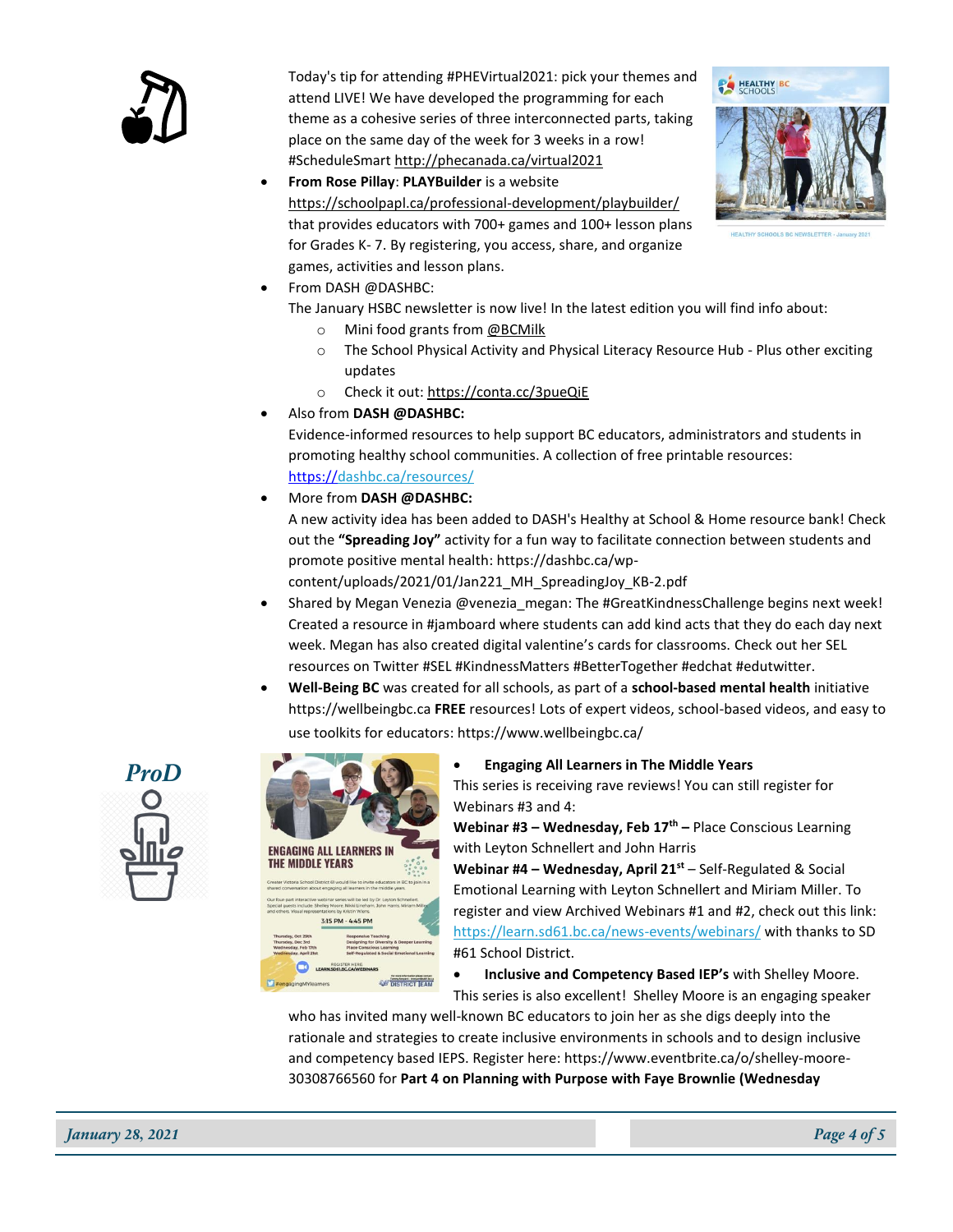

Today's tip for attending #PHEVirtual2021: pick your themes and attend LIVE! We have developed the programming for each theme as a cohesive series of three interconnected parts, taking place on the same day of the week for 3 weeks in a row! #ScheduleSmart [http://phecanada.ca/virtual2021](https://t.co/5qQ4qBII2S?amp=1)

• **From Rose Pillay**: **PLAYBuilder** is a website [https://schoolpapl.ca/professional-development/playbuilder/](https://t.co/13Tillyovk?amp=1) that provides educators with 700+ games and 100+ lesson plans for Grades K- 7. By registering, you access, share, and organize games, activities and lesson plans.



• From DASH @DASHBC:

The January HSBC newsletter is now live! In the latest edition you will find info about:

- o Mini food grants from [@BCMilk](https://twitter.com/BCMilk)
- o The School Physical Activity and Physical Literacy Resource Hub Plus other exciting updates
- o Check it out[: https://conta.cc/3pueQiE](https://t.co/C1lLbh7556?amp=1)
- Also from **DASH @DASHBC:**

Evidence-informed resources to help support BC educators, administrators and students in promoting healthy school communities. A collection of free printable resources: [https://dashbc.ca/resources/](https://t.co/cruAnv881x?amp=1)

• More from **DASH @DASHBC:**

A new activity idea has been added to DASH's Healthy at School & Home resource bank! Check out the **"Spreading Joy"** activity for a fun way to facilitate connection between students and promote positive mental health: https://dashbc.ca/wp-

content/uploads/2021/01/Jan221\_MH\_SpreadingJoy\_KB-2.pdf

- Shared by Megan Venezia @venezia megan: The #GreatKindnessChallenge begins next week! Created a resource in #jamboard where students can add kind acts that they do each day next week. Megan has also created digital valentine's cards for classrooms. Check out her SEL resources on Twitter #SEL #KindnessMatters #BetterTogether #edchat #edutwitter.
- **Well-Being BC** was created for all schools, as part of a **school-based mental health** initiative https://wellbeingbc.ca **FREE** resources! Lots of expert videos, school-based videos, and easy to use toolkits for educators: https://www.wellbeingbc.ca/



| <b>ENGAGING ALL LEARNERS IN</b><br>Creater Victoria School District 61 would like to invite educators in BC to join in a<br>shared conversation about engaging all learners in the middle years. |
|--------------------------------------------------------------------------------------------------------------------------------------------------------------------------------------------------|
|                                                                                                                                                                                                  |
|                                                                                                                                                                                                  |
|                                                                                                                                                                                                  |
|                                                                                                                                                                                                  |
|                                                                                                                                                                                                  |
|                                                                                                                                                                                                  |
|                                                                                                                                                                                                  |
|                                                                                                                                                                                                  |
|                                                                                                                                                                                                  |
|                                                                                                                                                                                                  |
|                                                                                                                                                                                                  |
|                                                                                                                                                                                                  |
| Our four-part interactive webinar series will be led by Dr. Leyton Schnellert.<br>Special guests include: Shelley Moore. Nikki Lineham. John Harris. Miriam Miller                               |
| and others. Visual representations by Kristin Wiens.                                                                                                                                             |
| 3-15 PM - 4-45 PM                                                                                                                                                                                |
|                                                                                                                                                                                                  |
| <b>Responsive Teaching</b><br>Designing for Diversity & Deeper Learning                                                                                                                          |
| <b>Place Conscious Learning</b>                                                                                                                                                                  |
| Self-Regulated & Social Emotional Learning                                                                                                                                                       |
| REGISTER HERE                                                                                                                                                                                    |
| <b>N.SD61.BC.CA/WEBINARS</b>                                                                                                                                                                     |
|                                                                                                                                                                                                  |
|                                                                                                                                                                                                  |

### **ProD** • **Engaging All Learners in The Middle Years**

This series is receiving rave reviews! You can still register for Webinars #3 and 4:

**Webinar #3 – Wednesday, Feb 17th –** Place Conscious Learning with Leyton Schnellert and John Harris

**Webinar #4 – Wednesday, April 21st** – Self-Regulated & Social Emotional Learning with Leyton Schnellert and Miriam Miller. To register and view Archived Webinars #1 and #2, check out this link: <https://learn.sd61.bc.ca/news-events/webinars/> with thanks to SD #61 School District.

• **Inclusive and Competency Based IEP's** with Shelley Moore. This series is also excellent! Shelley Moore is an engaging speaker

who has invited many well-known BC educators to join her as she digs deeply into the rationale and strategies to create inclusive environments in schools and to design inclusive and competency based IEPS. Register here: https://www.eventbrite.ca/o/shelley-moore-30308766560 for **Part 4 on Planning with Purpose with Faye Brownlie (Wednesday** 

*January 28, 2021 Page 4 of 5*